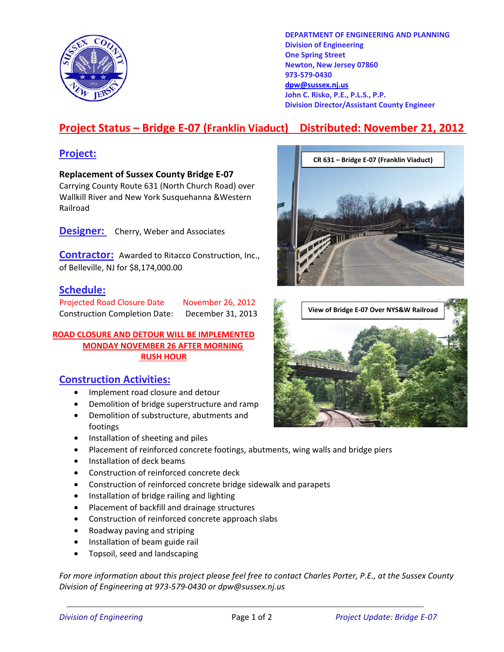

**DEPARTMENT OF ENGINEERING AND PLANNING Division of Engineering One Spring Street Newton, New Jersey 07860 973-579-0430 dpw@sussex.nj.us John C. Risko, P.E., P.L.S., P.P. Division Director/Assistant County Engineer** 

# **Project Status – Bridge E-07 (Franklin Viaduct) Distributed: November 21, 2012**

**Replacement of Sussex County Bridge E-07**  Carrying County Route 631 (North Church Road) over Wallkill River and New York Susquehanna &Western Railroad

**Designer:** Cherry, Weber and Associates

**Contractor:** Awarded to Ritacco Construction, Inc., of Belleville, NJ for \$8,174,000.00

## **Schedule:**

### **ROAD CLOSURE AND DETOUR WILL BE IMPLEMENTED MONDAY NOVEMBER 26 AFTER MORNING RUSH HOUR**

## **Construction Activities:**

- Implement road closure and detour
- Demolition of bridge superstructure and ramp
- Demolition of substructure, abutments and footings
- Installation of sheeting and piles
- Placement of reinforced concrete footings, abutments, wing walls and bridge piers
- Installation of deck beams
- Construction of reinforced concrete deck
- Construction of reinforced concrete bridge sidewalk and parapets
- Installation of bridge railing and lighting
- Placement of backfill and drainage structures
- Construction of reinforced concrete approach slabs
- Roadway paving and striping
- Installation of beam guide rail
- Topsoil, seed and landscaping

*For more information about this project please feel free to contact Charles Porter, P.E., at the Sussex County Division of Engineering at 973-579-0430 or dpw@sussex.nj.us*